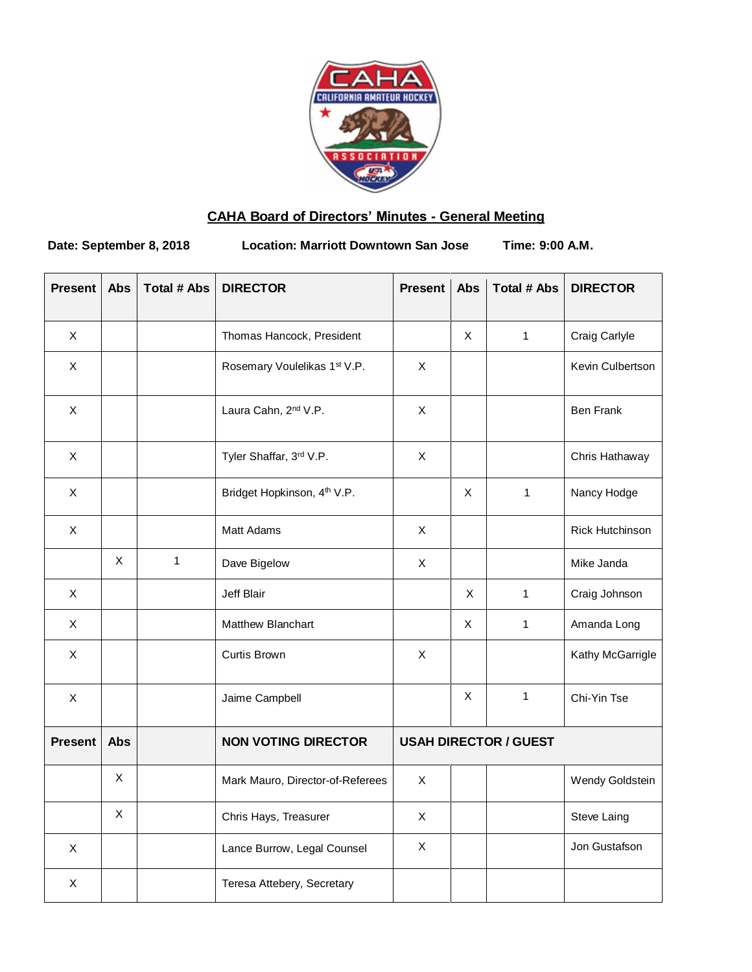

# **CAHA Board of Directors' Minutes - General Meeting**

**Date: September 8, 2018 Location: Marriott Downtown San Jose Time: 9:00 A.M.**

| <b>Present</b>            | Abs         | <b>Total # Abs</b> | <b>DIRECTOR</b>                         | <b>Present</b>               | Abs | <b>Total # Abs</b> | <b>DIRECTOR</b>        |
|---------------------------|-------------|--------------------|-----------------------------------------|------------------------------|-----|--------------------|------------------------|
| X                         |             |                    | Thomas Hancock, President               |                              | X   | $\mathbf{1}$       | Craig Carlyle          |
| $\boldsymbol{\mathsf{X}}$ |             |                    | Rosemary Voulelikas 1st V.P.            | X                            |     |                    | Kevin Culbertson       |
| $\boldsymbol{\mathsf{X}}$ |             |                    | Laura Cahn, 2 <sup>nd</sup> V.P.        | $\pmb{\times}$               |     |                    | <b>Ben Frank</b>       |
| $\mathsf{X}$              |             |                    | Tyler Shaffar, 3rd V.P.                 | $\pmb{\times}$               |     |                    | Chris Hathaway         |
| $\boldsymbol{\mathsf{X}}$ |             |                    | Bridget Hopkinson, 4 <sup>th</sup> V.P. |                              | X   | $\mathbf{1}$       | Nancy Hodge            |
| X                         |             |                    | Matt Adams                              | X                            |     |                    | <b>Rick Hutchinson</b> |
|                           | $\mathsf X$ | $\mathbf{1}$       | Dave Bigelow                            | X                            |     |                    | Mike Janda             |
| X                         |             |                    | Jeff Blair                              |                              | X   | $\mathbf{1}$       | Craig Johnson          |
| Χ                         |             |                    | Matthew Blanchart                       |                              | X   | 1                  | Amanda Long            |
| $\pmb{\times}$            |             |                    | Curtis Brown                            | X                            |     |                    | Kathy McGarrigle       |
| X                         |             |                    | Jaime Campbell                          |                              | X   | $\mathbf{1}$       | Chi-Yin Tse            |
| <b>Present</b>            | <b>Abs</b>  |                    | <b>NON VOTING DIRECTOR</b>              | <b>USAH DIRECTOR / GUEST</b> |     |                    |                        |
|                           | X           |                    | Mark Mauro, Director-of-Referees        | $\pmb{\times}$               |     |                    | Wendy Goldstein        |
|                           | X           |                    | Chris Hays, Treasurer                   | Χ                            |     |                    | Steve Laing            |
| X                         |             |                    | Lance Burrow, Legal Counsel             | X                            |     |                    | Jon Gustafson          |
| X                         |             |                    | Teresa Attebery, Secretary              |                              |     |                    |                        |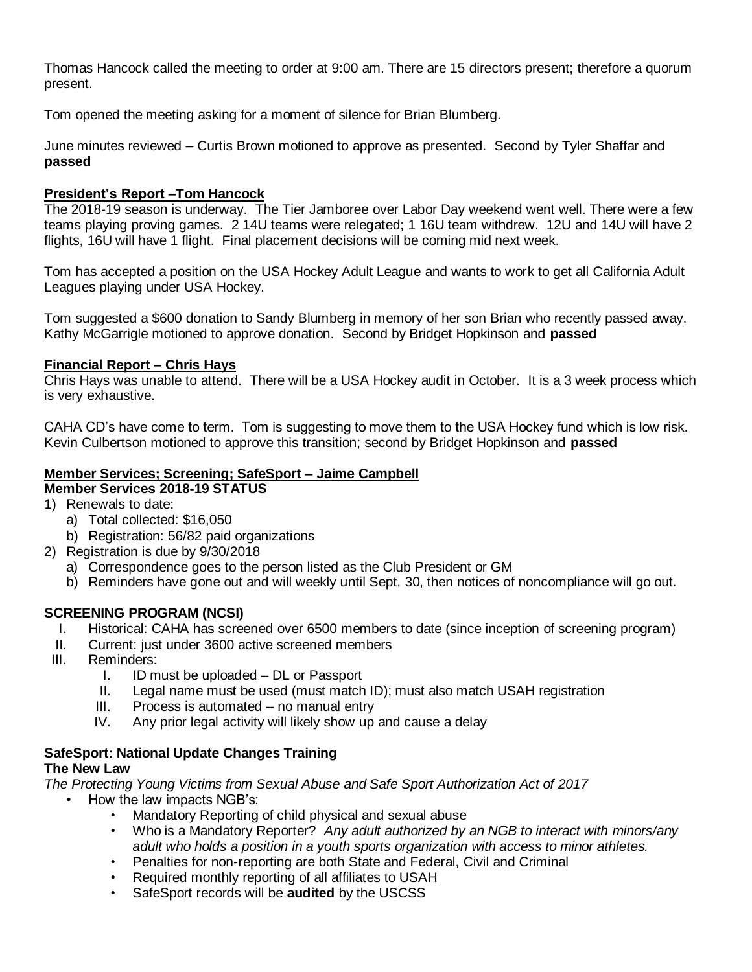Thomas Hancock called the meeting to order at 9:00 am. There are 15 directors present; therefore a quorum present.

Tom opened the meeting asking for a moment of silence for Brian Blumberg.

June minutes reviewed – Curtis Brown motioned to approve as presented. Second by Tyler Shaffar and **passed**

## **President's Report –Tom Hancock**

The 2018-19 season is underway. The Tier Jamboree over Labor Day weekend went well. There were a few teams playing proving games. 2 14U teams were relegated; 1 16U team withdrew. 12U and 14U will have 2 flights, 16U will have 1 flight. Final placement decisions will be coming mid next week.

Tom has accepted a position on the USA Hockey Adult League and wants to work to get all California Adult Leagues playing under USA Hockey.

Tom suggested a \$600 donation to Sandy Blumberg in memory of her son Brian who recently passed away. Kathy McGarrigle motioned to approve donation. Second by Bridget Hopkinson and **passed**

## **Financial Report – Chris Hays**

Chris Hays was unable to attend. There will be a USA Hockey audit in October. It is a 3 week process which is very exhaustive.

CAHA CD's have come to term. Tom is suggesting to move them to the USA Hockey fund which is low risk. Kevin Culbertson motioned to approve this transition; second by Bridget Hopkinson and **passed**

#### **Member Services; Screening; SafeSport – Jaime Campbell Member Services 2018-19 STATUS**

- 1) Renewals to date:
	- a) Total collected: \$16,050
	- b) Registration: 56/82 paid organizations
- 2) Registration is due by 9/30/2018
	- a) Correspondence goes to the person listed as the Club President or GM
	- b) Reminders have gone out and will weekly until Sept. 30, then notices of noncompliance will go out.

# **SCREENING PROGRAM (NCSI)**

- I. Historical: CAHA has screened over 6500 members to date (since inception of screening program)
- II. Current: just under 3600 active screened members
- III. Reminders:
	- I. ID must be uploaded DL or Passport
	- II. Legal name must be used (must match ID); must also match USAH registration
	- III. Process is automated no manual entry
	- IV. Any prior legal activity will likely show up and cause a delay

#### **SafeSport: National Update Changes Training The New Law**

*The Protecting Young Victims from Sexual Abuse and Safe Sport Authorization Act of 2017*

- How the law impacts NGB's:
	- Mandatory Reporting of child physical and sexual abuse
	- Who is a Mandatory Reporter? *Any adult authorized by an NGB to interact with minors/any adult who holds a position in a youth sports organization with access to minor athletes.*
	- Penalties for non-reporting are both State and Federal, Civil and Criminal
	- Required monthly reporting of all affiliates to USAH
	- SafeSport records will be **audited** by the USCSS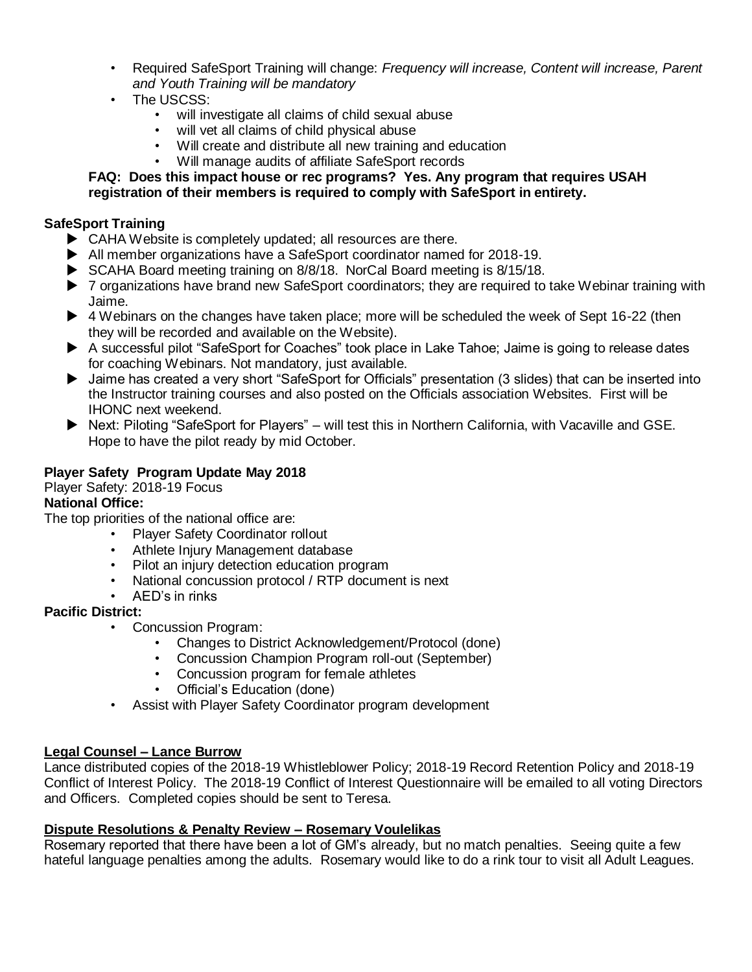- Required SafeSport Training will change: *Frequency will increase, Content will increase, Parent and Youth Training will be mandatory*
- The USCSS:
	- will investigate all claims of child sexual abuse
	- will vet all claims of child physical abuse
	- Will create and distribute all new training and education
	- Will manage audits of affiliate SafeSport records

## **FAQ: Does this impact house or rec programs? Yes. Any program that requires USAH registration of their members is required to comply with SafeSport in entirety.**

## **SafeSport Training**

- $\blacktriangleright$  CAHA Website is completely updated; all resources are there.
- All member organizations have a SafeSport coordinator named for 2018-19.
- ▶ SCAHA Board meeting training on 8/8/18. NorCal Board meeting is 8/15/18.
- ▶ 7 organizations have brand new SafeSport coordinators; they are required to take Webinar training with Jaime.
- ▶ 4 Webinars on the changes have taken place; more will be scheduled the week of Sept 16-22 (then they will be recorded and available on the Website).
- A successful pilot "SafeSport for Coaches" took place in Lake Tahoe; Jaime is going to release dates for coaching Webinars. Not mandatory, just available.
- Jaime has created a very short "SafeSport for Officials" presentation (3 slides) that can be inserted into the Instructor training courses and also posted on the Officials association Websites. First will be IHONC next weekend.
- ▶ Next: Piloting "SafeSport for Players" will test this in Northern California, with Vacaville and GSE. Hope to have the pilot ready by mid October.

# **Player Safety Program Update May 2018**

Player Safety: 2018-19 Focus

# **National Office:**

The top priorities of the national office are:

- Player Safety Coordinator rollout
- Athlete Injury Management database
- Pilot an injury detection education program
- National concussion protocol / RTP document is next
- AED's in rinks

# **Pacific District:**

- Concussion Program:
	- Changes to District Acknowledgement/Protocol (done)
	- Concussion Champion Program roll-out (September)
	- Concussion program for female athletes
	- Official's Education (done)
- Assist with Player Safety Coordinator program development

## **Legal Counsel – Lance Burrow**

Lance distributed copies of the 2018-19 Whistleblower Policy; 2018-19 Record Retention Policy and 2018-19 Conflict of Interest Policy. The 2018-19 Conflict of Interest Questionnaire will be emailed to all voting Directors and Officers. Completed copies should be sent to Teresa.

## **Dispute Resolutions & Penalty Review – Rosemary Voulelikas**

Rosemary reported that there have been a lot of GM's already, but no match penalties. Seeing quite a few hateful language penalties among the adults. Rosemary would like to do a rink tour to visit all Adult Leagues.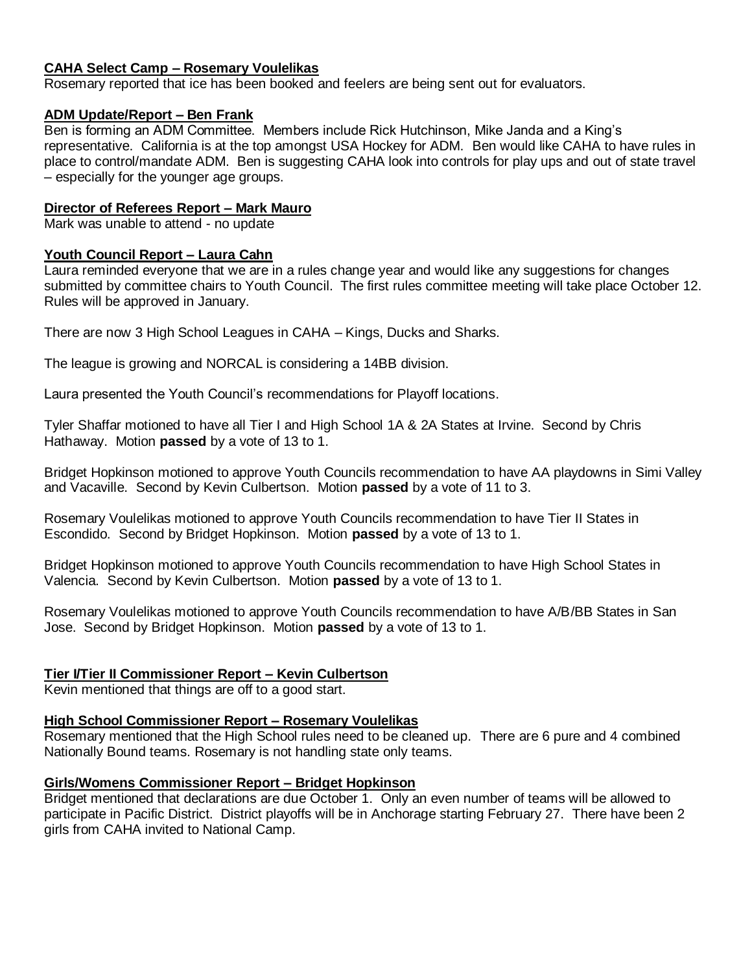#### **CAHA Select Camp – Rosemary Voulelikas**

Rosemary reported that ice has been booked and feelers are being sent out for evaluators.

#### **ADM Update/Report – Ben Frank**

Ben is forming an ADM Committee. Members include Rick Hutchinson, Mike Janda and a King's representative. California is at the top amongst USA Hockey for ADM. Ben would like CAHA to have rules in place to control/mandate ADM. Ben is suggesting CAHA look into controls for play ups and out of state travel – especially for the younger age groups.

#### **Director of Referees Report – Mark Mauro**

Mark was unable to attend - no update

#### **Youth Council Report – Laura Cahn**

Laura reminded everyone that we are in a rules change year and would like any suggestions for changes submitted by committee chairs to Youth Council. The first rules committee meeting will take place October 12. Rules will be approved in January.

There are now 3 High School Leagues in CAHA – Kings, Ducks and Sharks.

The league is growing and NORCAL is considering a 14BB division.

Laura presented the Youth Council's recommendations for Playoff locations.

Tyler Shaffar motioned to have all Tier I and High School 1A & 2A States at Irvine. Second by Chris Hathaway. Motion **passed** by a vote of 13 to 1.

Bridget Hopkinson motioned to approve Youth Councils recommendation to have AA playdowns in Simi Valley and Vacaville. Second by Kevin Culbertson. Motion **passed** by a vote of 11 to 3.

Rosemary Voulelikas motioned to approve Youth Councils recommendation to have Tier II States in Escondido. Second by Bridget Hopkinson. Motion **passed** by a vote of 13 to 1.

Bridget Hopkinson motioned to approve Youth Councils recommendation to have High School States in Valencia. Second by Kevin Culbertson. Motion **passed** by a vote of 13 to 1.

Rosemary Voulelikas motioned to approve Youth Councils recommendation to have A/B/BB States in San Jose. Second by Bridget Hopkinson. Motion **passed** by a vote of 13 to 1.

## **Tier I/Tier II Commissioner Report – Kevin Culbertson**

Kevin mentioned that things are off to a good start.

#### **High School Commissioner Report – Rosemary Voulelikas**

Rosemary mentioned that the High School rules need to be cleaned up. There are 6 pure and 4 combined Nationally Bound teams. Rosemary is not handling state only teams.

#### **Girls/Womens Commissioner Report – Bridget Hopkinson**

Bridget mentioned that declarations are due October 1. Only an even number of teams will be allowed to participate in Pacific District. District playoffs will be in Anchorage starting February 27. There have been 2 girls from CAHA invited to National Camp.